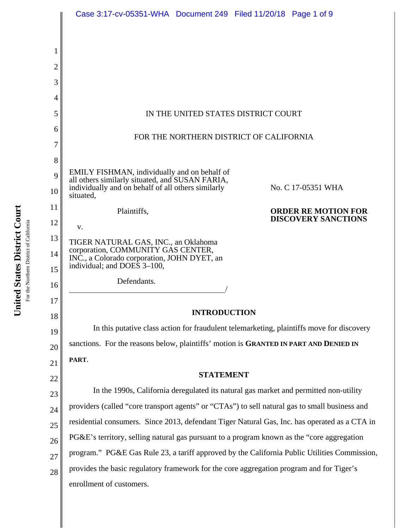|                | Case 3:17-cv-05351-WHA  Document 249  Filed 11/20/18  Page 1 of 9                                                                                        |
|----------------|----------------------------------------------------------------------------------------------------------------------------------------------------------|
|                |                                                                                                                                                          |
| 1              |                                                                                                                                                          |
| 2              |                                                                                                                                                          |
| 3              |                                                                                                                                                          |
| 4              |                                                                                                                                                          |
| 5              | IN THE UNITED STATES DISTRICT COURT                                                                                                                      |
| 6              |                                                                                                                                                          |
| 7              | FOR THE NORTHERN DISTRICT OF CALIFORNIA                                                                                                                  |
| 8              |                                                                                                                                                          |
| 9              | EMILY FISHMAN, individually and on behalf of                                                                                                             |
| 10             | all others similarly situated, and SUSAN FARIA,<br>individually and on behalf of all others similarly<br>No. C 17-05351 WHA<br>situated,                 |
| 11             | Plaintiffs,<br><b>ORDER RE MOTION FOR</b>                                                                                                                |
| 12             | <b>DISCOVERY SANCTIONS</b><br>V.                                                                                                                         |
| 13<br>14<br>15 | TIGER NATURAL GAS, INC., an Oklahoma<br>corporation, COMMUNITY GAS CENTER,<br>INC., a Colorado corporation, JOHN DYET, an<br>individual; and DOES 3-100, |
| 16             | Defendants.                                                                                                                                              |
| 17             |                                                                                                                                                          |
| 18             | <b>INTRODUCTION</b>                                                                                                                                      |
| 19             | In this putative class action for fraudulent telemarketing, plaintiffs move for discovery                                                                |
| 20             | sanctions. For the reasons below, plaintiffs' motion is GRANTED IN PART AND DENIED IN                                                                    |
| 21             | PART.                                                                                                                                                    |
| 22             | <b>STATEMENT</b>                                                                                                                                         |
| 23             | In the 1990s, California deregulated its natural gas market and permitted non-utility                                                                    |
| 24             | providers (called "core transport agents" or "CTAs") to sell natural gas to small business and                                                           |
| 25             | residential consumers. Since 2013, defendant Tiger Natural Gas, Inc. has operated as a CTA in                                                            |
| 26             | PG&E's territory, selling natural gas pursuant to a program known as the "core aggregation"                                                              |
| 27             | program." PG&E Gas Rule 23, a tariff approved by the California Public Utilities Commission,                                                             |
| 28             | provides the basic regulatory framework for the core aggregation program and for Tiger's                                                                 |
|                | enrollment of customers.                                                                                                                                 |

United States District Court **United States District Court** For the Northern District of California For the Northern District of California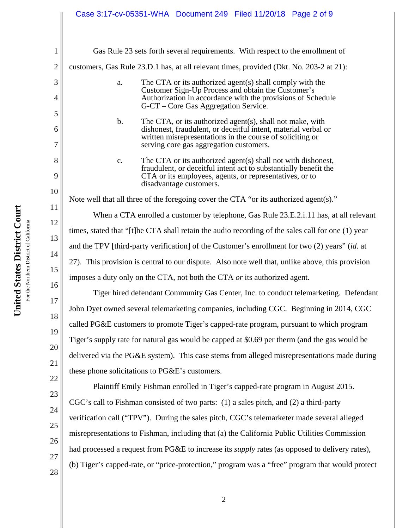## Case 3:17-cv-05351-WHA Document 249 Filed 11/20/18 Page 2 of 9

| 1                   | Gas Rule 23 sets forth several requirements. With respect to the enrollment of                                                                                                                                                                       |
|---------------------|------------------------------------------------------------------------------------------------------------------------------------------------------------------------------------------------------------------------------------------------------|
| $\overline{2}$      | customers, Gas Rule 23.D.1 has, at all relevant times, provided (Dkt. No. 203-2 at 21):                                                                                                                                                              |
| 3<br>$\overline{4}$ | The CTA or its authorized agent(s) shall comply with the<br>a.<br>Customer Sign-Up Process and obtain the Customer's<br>Authorization in accordance with the provisions of Schedule<br>G-CT – Core Gas Aggregation Service.                          |
| 5<br>6<br>7         | The CTA, or its authorized agent(s), shall not make, with<br>$\mathbf b$ .<br>dishonest, fraudulent, or deceitful intent, material verbal or<br>written misrepresentations in the course of soliciting or<br>serving core gas aggregation customers. |
| 8<br>9<br>10        | The CTA or its authorized agent(s) shall not with dishonest,<br>$\mathbf{C}$ .<br>fraudulent, or deceitful intent act to substantially benefit the<br>CTA or its employees, agents, or representatives, or to<br>disadvantage customers.             |
| 11                  | Note well that all three of the foregoing cover the CTA "or its authorized agent(s)."                                                                                                                                                                |
| 12                  | When a CTA enrolled a customer by telephone, Gas Rule 23.E.2.i.11 has, at all relevant                                                                                                                                                               |
| 13                  | times, stated that "[t]he CTA shall retain the audio recording of the sales call for one (1) year                                                                                                                                                    |
| 14                  | and the TPV [third-party verification] of the Customer's enrollment for two (2) years" (id. at                                                                                                                                                       |
| 15                  | 27). This provision is central to our dispute. Also note well that, unlike above, this provision                                                                                                                                                     |
| 16                  | imposes a duty only on the CTA, not both the CTA or its authorized agent.                                                                                                                                                                            |
| 17                  | Tiger hired defendant Community Gas Center, Inc. to conduct telemarketing. Defendant                                                                                                                                                                 |
| 18                  | John Dyet owned several telemarketing companies, including CGC. Beginning in 2014, CGC                                                                                                                                                               |
| 19                  | called PG&E customers to promote Tiger's capped-rate program, pursuant to which program                                                                                                                                                              |
| 20                  | Tiger's supply rate for natural gas would be capped at \$0.69 per therm (and the gas would be                                                                                                                                                        |
| 21                  | delivered via the PG&E system). This case stems from alleged misrepresentations made during                                                                                                                                                          |
| 22                  | these phone solicitations to PG&E's customers.                                                                                                                                                                                                       |
| 23                  | Plaintiff Emily Fishman enrolled in Tiger's capped-rate program in August 2015.                                                                                                                                                                      |
| 24                  | CGC's call to Fishman consisted of two parts: (1) a sales pitch, and (2) a third-party                                                                                                                                                               |
| 25                  | verification call ("TPV"). During the sales pitch, CGC's telemarketer made several alleged                                                                                                                                                           |
| 26                  | misrepresentations to Fishman, including that (a) the California Public Utilities Commission                                                                                                                                                         |
| 27                  | had processed a request from PG&E to increase its <i>supply</i> rates (as opposed to delivery rates),                                                                                                                                                |
| 28                  | (b) Tiger's capped-rate, or "price-protection," program was a "free" program that would protect                                                                                                                                                      |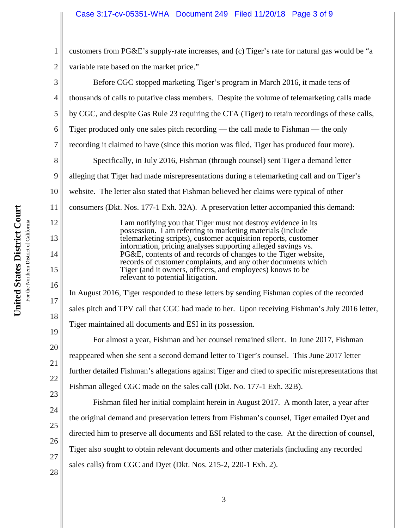## Case 3:17-cv-05351-WHA Document 249 Filed 11/20/18 Page 3 of 9

1 2 customers from PG&E's supply-rate increases, and (c) Tiger's rate for natural gas would be "a variable rate based on the market price."

3 4 5 6 7 8 9 10 11 12 13 14 15 16 17 18 19 20 21 22 23 24 25 26 27 28 Before CGC stopped marketing Tiger's program in March 2016, it made tens of thousands of calls to putative class members. Despite the volume of telemarketing calls made by CGC, and despite Gas Rule 23 requiring the CTA (Tiger) to retain recordings of these calls, Tiger produced only one sales pitch recording — the call made to Fishman — the only recording it claimed to have (since this motion was filed, Tiger has produced four more). Specifically, in July 2016, Fishman (through counsel) sent Tiger a demand letter alleging that Tiger had made misrepresentations during a telemarketing call and on Tiger's website. The letter also stated that Fishman believed her claims were typical of other consumers (Dkt. Nos. 177-1 Exh. 32A). A preservation letter accompanied this demand: I am notifying you that Tiger must not destroy evidence in its possession. I am referring to marketing materials (include telemarketing scripts), customer acquisition reports, customer information, pricing analyses supporting alleged savings vs. PG&E, contents of and records of changes to the Tiger website, records of customer complaints, and any other documents which Tiger (and it owners, officers, and employees) knows to be relevant to potential litigation. In August 2016, Tiger responded to these letters by sending Fishman copies of the recorded sales pitch and TPV call that CGC had made to her. Upon receiving Fishman's July 2016 letter, Tiger maintained all documents and ESI in its possession. For almost a year, Fishman and her counsel remained silent. In June 2017, Fishman reappeared when she sent a second demand letter to Tiger's counsel. This June 2017 letter further detailed Fishman's allegations against Tiger and cited to specific misrepresentations that Fishman alleged CGC made on the sales call (Dkt. No. 177-1 Exh. 32B). Fishman filed her initial complaint herein in August 2017. A month later, a year after the original demand and preservation letters from Fishman's counsel, Tiger emailed Dyet and directed him to preserve all documents and ESI related to the case. At the direction of counsel, Tiger also sought to obtain relevant documents and other materials (including any recorded sales calls) from CGC and Dyet (Dkt. Nos. 215-2, 220-1 Exh. 2).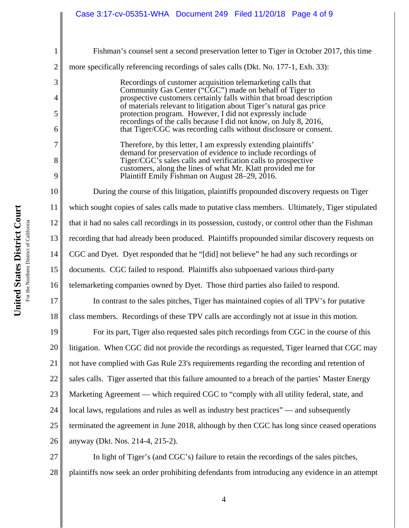| $\mathbf{1}$   | Fishman's counsel sent a second preservation letter to Tiger in October 2017, this time                                               |
|----------------|---------------------------------------------------------------------------------------------------------------------------------------|
| $\overline{2}$ | more specifically referencing recordings of sales calls (Dkt. No. 177-1, Exh. 33):                                                    |
| 3              | Recordings of customer acquisition telemarketing calls that                                                                           |
| 4              | Community Gas Center ("CGC") made on behalf of Tiger to<br>prospective customers certainly falls within that broad description        |
| 5              | of materials relevant to litigation about Tiger's natural gas price<br>protection program. However, I did not expressly include       |
| 6              | recordings of the calls because I did not know, on July 8, 2016,<br>that Tiger/CGC was recording calls without disclosure or consent. |
| 7              | Therefore, by this letter, I am expressly extending plaintiffs'                                                                       |
| 8              | demand for preservation of evidence to include recordings of<br>Tiger/CGC's sales calls and verification calls to prospective         |
| 9              | customers, along the lines of what Mr. Klatt provided me for<br>Plaintiff Emily Fishman on August 28–29, 2016.                        |
| 10             | During the course of this litigation, plaintiffs propounded discovery requests on Tiger                                               |
| 11             | which sought copies of sales calls made to putative class members. Ultimately, Tiger stipulated                                       |
| 12             | that it had no sales call recordings in its possession, custody, or control other than the Fishman                                    |
| 13             | recording that had already been produced. Plaintiffs propounded similar discovery requests on                                         |
| 14             | CGC and Dyet. Dyet responded that he "[did] not believe" he had any such recordings or                                                |
| 15             | documents. CGC failed to respond. Plaintiffs also subpoenaed various third-party                                                      |
| 16             | telemarketing companies owned by Dyet. Those third parties also failed to respond.                                                    |
| 17             | In contrast to the sales pitches, Tiger has maintained copies of all TPV's for putative                                               |
| 18             | class members. Recordings of these TPV calls are accordingly not at issue in this motion.                                             |
| 19             | For its part, Tiger also requested sales pitch recordings from CGC in the course of this                                              |
| 20             | litigation. When CGC did not provide the recordings as requested, Tiger learned that CGC may                                          |
| 21             | not have complied with Gas Rule 23's requirements regarding the recording and retention of                                            |
| 22             | sales calls. Tiger asserted that this failure amounted to a breach of the parties' Master Energy                                      |
| 23             | Marketing Agreement — which required CGC to "comply with all utility federal, state, and                                              |
| 24             | local laws, regulations and rules as well as industry best practices" — and subsequently                                              |
| 25             | terminated the agreement in June 2018, although by then CGC has long since ceased operations                                          |
| 26             | anyway (Dkt. Nos. 214-4, 215-2).                                                                                                      |
| 27             | In light of Tiger's (and CGC's) failure to retain the recordings of the sales pitches,                                                |
| 28             | plaintiffs now seek an order prohibiting defendants from introducing any evidence in an attempt                                       |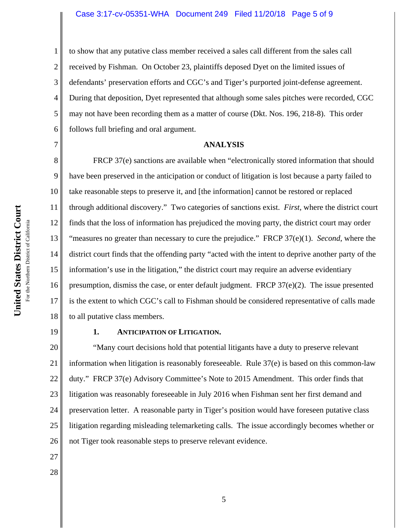#### Case 3:17-cv-05351-WHA Document 249 Filed 11/20/18 Page 5 of 9

4 6 to show that any putative class member received a sales call different from the sales call received by Fishman. On October 23, plaintiffs deposed Dyet on the limited issues of defendants' preservation efforts and CGC's and Tiger's purported joint-defense agreement. During that deposition, Dyet represented that although some sales pitches were recorded, CGC may not have been recording them as a matter of course (Dkt. Nos. 196, 218-8). This order follows full briefing and oral argument.

#### **ANALYSIS**

8 9 10 11 12 13 14 15 16 17 18 FRCP 37(e) sanctions are available when "electronically stored information that should have been preserved in the anticipation or conduct of litigation is lost because a party failed to take reasonable steps to preserve it, and [the information] cannot be restored or replaced through additional discovery." Two categories of sanctions exist. *First*, where the district court finds that the loss of information has prejudiced the moving party, the district court may order "measures no greater than necessary to cure the prejudice." FRCP 37(e)(1). *Second*, where the district court finds that the offending party "acted with the intent to deprive another party of the information's use in the litigation," the district court may require an adverse evidentiary presumption, dismiss the case, or enter default judgment. FRCP 37(e)(2). The issue presented is the extent to which CGC's call to Fishman should be considered representative of calls made to all putative class members.

19

27

28

1

2

3

5

7

### **1. ANTICIPATION OF LITIGATION.**

20 21 22 23 24 25 26 "Many court decisions hold that potential litigants have a duty to preserve relevant information when litigation is reasonably foreseeable. Rule 37(e) is based on this common-law duty." FRCP 37(e) Advisory Committee's Note to 2015 Amendment. This order finds that litigation was reasonably foreseeable in July 2016 when Fishman sent her first demand and preservation letter. A reasonable party in Tiger's position would have foreseen putative class litigation regarding misleading telemarketing calls. The issue accordingly becomes whether or not Tiger took reasonable steps to preserve relevant evidence.

5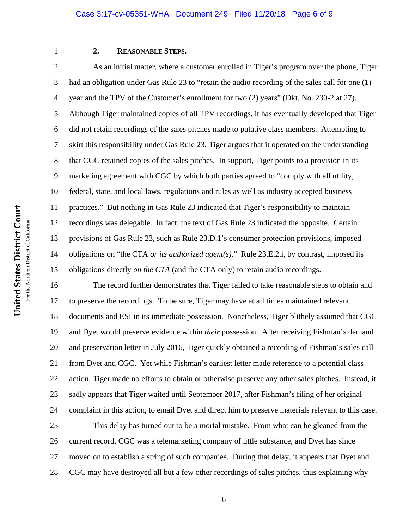#### **2. REASONABLE STEPS.**

2 3 4 5 6 7 8 9 10 11 12 13 14 15 As an initial matter, where a customer enrolled in Tiger's program over the phone, Tiger had an obligation under Gas Rule 23 to "retain the audio recording of the sales call for one (1) year and the TPV of the Customer's enrollment for two (2) years" (Dkt. No. 230-2 at 27). Although Tiger maintained copies of all TPV recordings, it has eventually developed that Tiger did not retain recordings of the sales pitches made to putative class members. Attempting to skirt this responsibility under Gas Rule 23, Tiger argues that it operated on the understanding that CGC retained copies of the sales pitches. In support, Tiger points to a provision in its marketing agreement with CGC by which both parties agreed to "comply with all utility, federal, state, and local laws, regulations and rules as well as industry accepted business practices." But nothing in Gas Rule 23 indicated that Tiger's responsibility to maintain recordings was delegable. In fact, the text of Gas Rule 23 indicated the opposite. Certain provisions of Gas Rule 23, such as Rule 23.D.1's consumer protection provisions, imposed obligations on "the CTA *or its authorized agent(s).*" Rule 23.E.2.i, by contrast, imposed its obligations directly *on the CTA* (and the CTA only) to retain audio recordings.

16 17 18 19 20 21 22 23 24 The record further demonstrates that Tiger failed to take reasonable steps to obtain and to preserve the recordings. To be sure, Tiger may have at all times maintained relevant documents and ESI in its immediate possession. Nonetheless, Tiger blithely assumed that CGC and Dyet would preserve evidence within *their* possession. After receiving Fishman's demand and preservation letter in July 2016, Tiger quickly obtained a recording of Fishman's sales call from Dyet and CGC. Yet while Fishman's earliest letter made reference to a potential class action, Tiger made no efforts to obtain or otherwise preserve any other sales pitches. Instead, it sadly appears that Tiger waited until September 2017, after Fishman's filing of her original complaint in this action, to email Dyet and direct him to preserve materials relevant to this case.

25 26 27 28 This delay has turned out to be a mortal mistake. From what can be gleaned from the current record, CGC was a telemarketing company of little substance, and Dyet has since moved on to establish a string of such companies. During that delay, it appears that Dyet and CGC may have destroyed all but a few other recordings of sales pitches, thus explaining why

1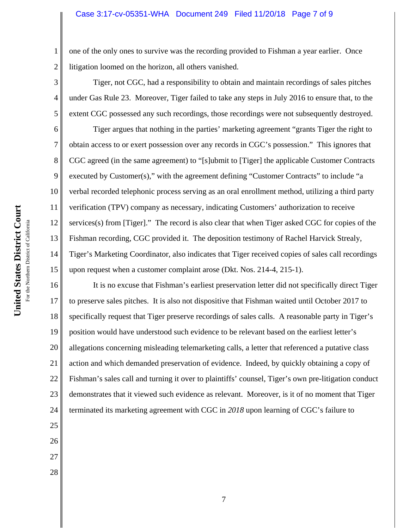#### Case 3:17-cv-05351-WHA Document 249 Filed 11/20/18 Page 7 of 9

1 2 one of the only ones to survive was the recording provided to Fishman a year earlier. Once litigation loomed on the horizon, all others vanished.

Tiger, not CGC, had a responsibility to obtain and maintain recordings of sales pitches under Gas Rule 23. Moreover, Tiger failed to take any steps in July 2016 to ensure that, to the extent CGC possessed any such recordings, those recordings were not subsequently destroyed.

6 7 8 9 10 11 12 13 14 15 Tiger argues that nothing in the parties' marketing agreement "grants Tiger the right to obtain access to or exert possession over any records in CGC's possession." This ignores that CGC agreed (in the same agreement) to "[s]ubmit to [Tiger] the applicable Customer Contracts executed by Customer(s)," with the agreement defining "Customer Contracts" to include "a verbal recorded telephonic process serving as an oral enrollment method, utilizing a third party verification (TPV) company as necessary, indicating Customers' authorization to receive services(s) from [Tiger]." The record is also clear that when Tiger asked CGC for copies of the Fishman recording, CGC provided it. The deposition testimony of Rachel Harvick Strealy, Tiger's Marketing Coordinator, also indicates that Tiger received copies of sales call recordings upon request when a customer complaint arose (Dkt. Nos. 214-4, 215-1).

16 17 18 19 20 21 22 23 24 It is no excuse that Fishman's earliest preservation letter did not specifically direct Tiger to preserve sales pitches. It is also not dispositive that Fishman waited until October 2017 to specifically request that Tiger preserve recordings of sales calls. A reasonable party in Tiger's position would have understood such evidence to be relevant based on the earliest letter's allegations concerning misleading telemarketing calls, a letter that referenced a putative class action and which demanded preservation of evidence. Indeed, by quickly obtaining a copy of Fishman's sales call and turning it over to plaintiffs' counsel, Tiger's own pre-litigation conduct demonstrates that it viewed such evidence as relevant. Moreover, is it of no moment that Tiger terminated its marketing agreement with CGC in *2018* upon learning of CGC's failure to

For the Northern District of California For the Northern District of California

25

26

27

28

3

4

5

**United States District Court**

United States District Court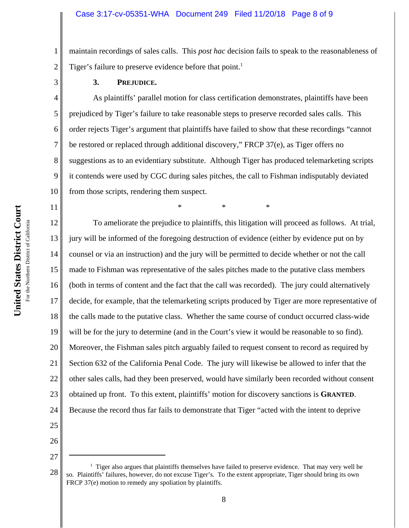2 maintain recordings of sales calls. This *post hac* decision fails to speak to the reasonableness of Tiger's failure to preserve evidence before that point.<sup>1</sup>

1

3

5

6

7

8

9

11

**3. PREJUDICE.**

4 10 As plaintiffs' parallel motion for class certification demonstrates, plaintiffs have been prejudiced by Tiger's failure to take reasonable steps to preserve recorded sales calls. This order rejects Tiger's argument that plaintiffs have failed to show that these recordings "cannot be restored or replaced through additional discovery," FRCP 37(e), as Tiger offers no suggestions as to an evidentiary substitute. Although Tiger has produced telemarketing scripts it contends were used by CGC during sales pitches, the call to Fishman indisputably deviated from those scripts, rendering them suspect.

\* \* \*

12 13 14 15 16 17 18 19 20 21 22 23 24 To ameliorate the prejudice to plaintiffs, this litigation will proceed as follows. At trial, jury will be informed of the foregoing destruction of evidence (either by evidence put on by counsel or via an instruction) and the jury will be permitted to decide whether or not the call made to Fishman was representative of the sales pitches made to the putative class members (both in terms of content and the fact that the call was recorded). The jury could alternatively decide, for example, that the telemarketing scripts produced by Tiger are more representative of the calls made to the putative class. Whether the same course of conduct occurred class-wide will be for the jury to determine (and in the Court's view it would be reasonable to so find). Moreover, the Fishman sales pitch arguably failed to request consent to record as required by Section 632 of the California Penal Code. The jury will likewise be allowed to infer that the other sales calls, had they been preserved, would have similarly been recorded without consent obtained up front. To this extent, plaintiffs' motion for discovery sanctions is **GRANTED**. Because the record thus far fails to demonstrate that Tiger "acted with the intent to deprive

- 25 26
- 27

<sup>28</sup> <sup>1</sup> Tiger also argues that plaintiffs themselves have failed to preserve evidence. That may very well be so. Plaintiffs' failures, however, do not excuse Tiger's. To the extent appropriate, Tiger should bring its own FRCP 37(e) motion to remedy any spoliation by plaintiffs.